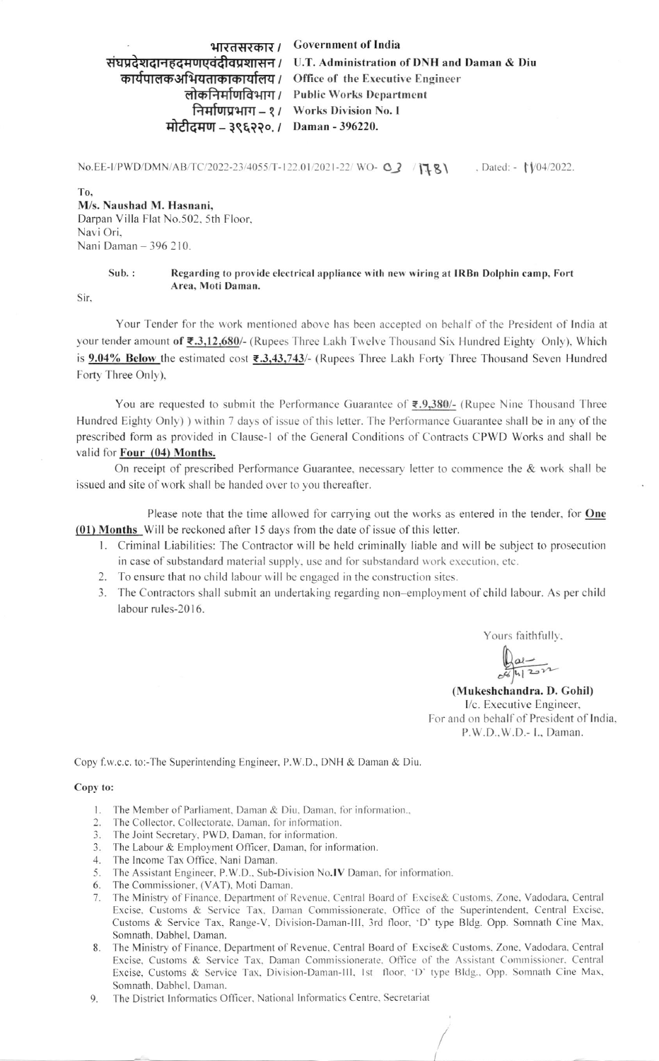भारतसरकार / Government of India संघप्रदेशदानहृदमणएवंदीवप्रशासन / U.T. Administration of DNH and Daman & Diu कार्यपालकअभियताकाकार्यालय / Office of the Executive Engineer लोकनिर्माणविभाग / Public Works Department निर्माणप्रभाग - १ / Works Division No. I मोटीदमण - ३९६२२०. / Daman - 396220.

No.EE-I/PWD/DMN/AB/TC/2022-23/4055/T-122.01/2021-22/ WO- 03 / 178 , Dated:  $\sqrt{\frac{04}{2022}}$ .

T<sub>0</sub> M/s. Naushad M. Hasnani, Darpan Villa Flat No.502, 5th Floor, Navi Ori. Nani Daman - 396 210.

### $Sub.$ : Regarding to provide electrical appliance with new wiring at IRBn Dolphin camp, Fort Area, Moti Daman.

Sir,

Your Tender for the work mentioned above has been accepted on behalf of the President of India at your tender amount of ₹.3,12,680/- (Rupees Three Lakh Twelve Thousand Six Hundred Eighty Only), Which is 9.04% Below the estimated cost ₹.3,43,743/- (Rupees Three Lakh Forty Three Thousand Seven Hundred Forty Three Only),

You are requested to submit the Performance Guarantee of  $\overline{\epsilon}$ , 9,380/- (Rupee Nine Thousand Three Hundred Eighty Only) ) within 7 days of issue of this letter. The Performance Guarantee shall be in any of the prescribed form as provided in Clause-1 of the General Conditions of Contracts CPWD Works and shall be valid for Four (04) Months.

On receipt of prescribed Performance Guarantee, necessary letter to commence the & work shall be issued and site of work shall be handed over to you thereafter.

Please note that the time allowed for carrying out the works as entered in the tender, for **One** (01) Months Will be reckoned after 15 days from the date of issue of this letter.

- 1. Criminal Liabilities: The Contractor will be held criminally liable and will be subject to prosecution in case of substandard material supply, use and for substandard work execution, etc.
- 2. To ensure that no child labour will be engaged in the construction sites.
- 3. The Contractors shall submit an undertaking regarding non-employment of child labour. As per child labour rules-2016.

Yours faithfully,

 $\frac{1}{20}$ 

(Mukeshchandra. D. Gohil) I/c. Executive Engineer, For and on behalf of President of India, P.W.D., W.D.- I., Daman.

Copy f.w.c.c. to:-The Superintending Engineer, P.W.D., DNH & Daman & Diu.

### Copy to:

- 1. The Member of Parliament, Daman & Diu, Daman, for information.,
- $2.$ The Collector, Collectorate, Daman, for information.
- The Joint Secretary, PWD, Daman, for information.
- 3. The Labour & Employment Officer, Daman, for information.
- 4. The Income Tax Office, Nani Daman.
- 5. The Assistant Engineer, P.W.D., Sub-Division No.IV Daman, for information.
- 
- 6. The Commissioner, (VAT), Moti Daman.<br>7. The Ministry of Finance, Department of Revenue, Central Board of Excise& Customs, Zone, Vadodara, Central Excise, Customs & Service Tax, Daman Commissionerate, Office of the Superintendent, Central Excise, Customs & Service Tax, Range-V, Division-Daman-III, 3rd floor, 'D' type Bldg. Opp. Somnath Cine Max, Somnath, Dabhel, Daman.
- 8. The Ministry of Finance, Department of Revenue, Central Board of Excise& Customs, Zone, Vadodara, Central Excise, Customs & Service Tax, Daman Commissionerate, Office of the Assistant Commissioner, Central Excise, Customs & Service Tax, Division-Daman-III, 1st floor, 'D' type Bldg., Opp. Somnath Cine Max, Somnath, Dabhel, Daman.
- The District Informatics Officer, National Informatics Centre, Secretariat 9